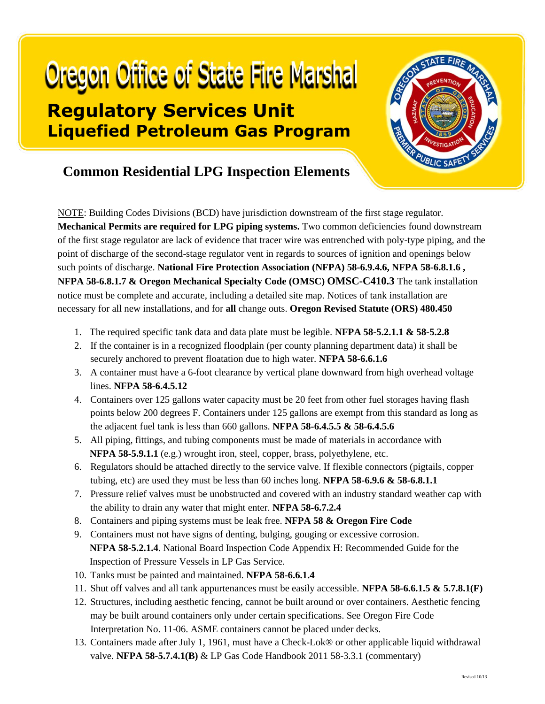## **Oregon Office of State Fire Marshal Regulatory Services Unit Liquefied Petroleum Gas Program**



## **Common Residential LPG Inspection Elements**

NOTE: Building Codes Divisions (BCD) have jurisdiction downstream of the first stage regulator. **Mechanical Permits are required for LPG piping systems.** Two common deficiencies found downstream of the first stage regulator are lack of evidence that tracer wire was entrenched with poly-type piping, and the point of discharge of the second-stage regulator vent in regards to sources of ignition and openings below such points of discharge. **National Fire Protection Association (NFPA) 58-6.9.4.6, NFPA 58-6.8.1.6 , NFPA 58-6.8.1.7 & Oregon Mechanical Specialty Code (OMSC) OMSC-C410.3** The tank installation notice must be complete and accurate, including a detailed site map. Notices of tank installation are necessary for all new installations, and for **all** change outs. **Oregon Revised Statute (ORS) 480.450**

- 1. The required specific tank data and data plate must be legible. **NFPA 58-5.2.1.1 & 58-5.2.8**
- 2. If the container is in a recognized floodplain (per county planning department data) it shall be securely anchored to prevent floatation due to high water. **NFPA 58-6.6.1.6**
- 3. A container must have a 6-foot clearance by vertical plane downward from high overhead voltage lines. **NFPA 58-6.4.5.12**
- 4. Containers over 125 gallons water capacity must be 20 feet from other fuel storages having flash points below 200 degrees F. Containers under 125 gallons are exempt from this standard as long as the adjacent fuel tank is less than 660 gallons. **NFPA 58-6.4.5.5 & 58-6.4.5.6**
- 5. All piping, fittings, and tubing components must be made of materials in accordance with **NFPA 58-5.9.1.1** (e.g.) wrought iron, steel, copper, brass, polyethylene, etc.
- 6. Regulators should be attached directly to the service valve. If flexible connectors (pigtails, copper tubing, etc) are used they must be less than 60 inches long. **NFPA 58-6.9.6 & 58-6.8.1.1**
- 7. Pressure relief valves must be unobstructed and covered with an industry standard weather cap with the ability to drain any water that might enter. **NFPA 58-6.7.2.4**
- 8. Containers and piping systems must be leak free. **NFPA 58 & Oregon Fire Code**
- 9. Containers must not have signs of denting, bulging, gouging or excessive corrosion. **NFPA 58-5.2.1.4**. National Board Inspection Code Appendix H: Recommended Guide for the Inspection of Pressure Vessels in LP Gas Service.
- 10. Tanks must be painted and maintained. **NFPA 58-6.6.1.4**
- 11. Shut off valves and all tank appurtenances must be easily accessible. **NFPA 58-6.6.1.5 & 5.7.8.1(F)**
- 12. Structures, including aesthetic fencing, cannot be built around or over containers. Aesthetic fencing may be built around containers only under certain specifications. See Oregon Fire Code Interpretation No. 11-06. ASME containers cannot be placed under decks.
- 13. Containers made after July 1, 1961, must have a Check-Lok® or other applicable liquid withdrawal valve. **NFPA 58-5.7.4.1(B)** & LP Gas Code Handbook 2011 58-3.3.1 (commentary)